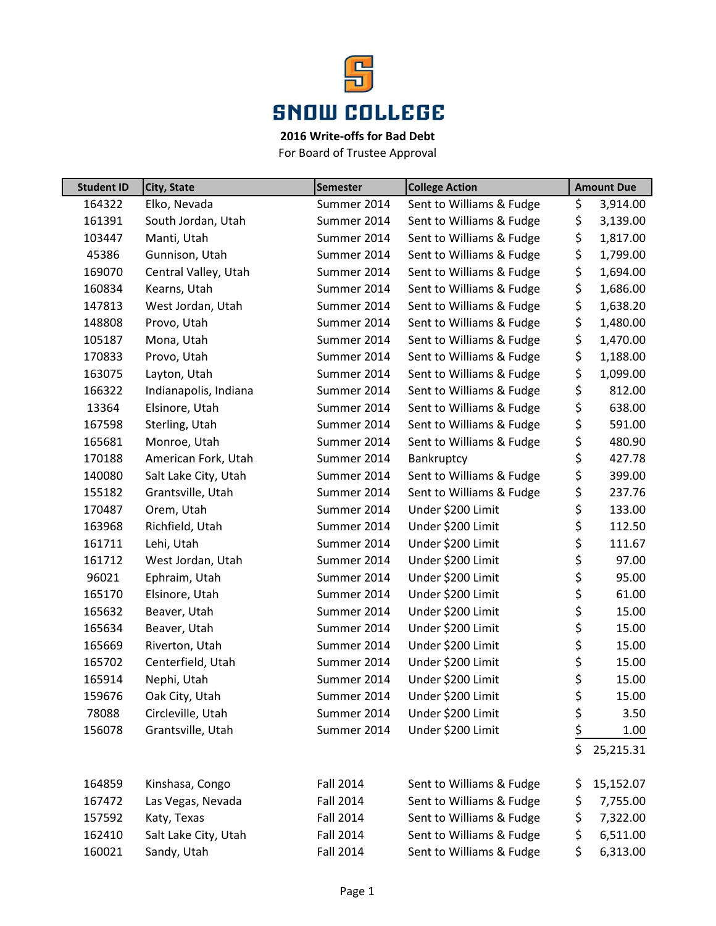

## **2016 Write-offs for Bad Debt**

For Board of Trustee Approval

| <b>Student ID</b> | City, State           | <b>Semester</b>  | <b>College Action</b>    | <b>Amount Due</b> |
|-------------------|-----------------------|------------------|--------------------------|-------------------|
| 164322            | Elko, Nevada          | Summer 2014      | Sent to Williams & Fudge | \$<br>3,914.00    |
| 161391            | South Jordan, Utah    | Summer 2014      | Sent to Williams & Fudge | \$<br>3,139.00    |
| 103447            | Manti, Utah           | Summer 2014      | Sent to Williams & Fudge | \$<br>1,817.00    |
| 45386             | Gunnison, Utah        | Summer 2014      | Sent to Williams & Fudge | \$<br>1,799.00    |
| 169070            | Central Valley, Utah  | Summer 2014      | Sent to Williams & Fudge | \$<br>1,694.00    |
| 160834            | Kearns, Utah          | Summer 2014      | Sent to Williams & Fudge | \$<br>1,686.00    |
| 147813            | West Jordan, Utah     | Summer 2014      | Sent to Williams & Fudge | \$<br>1,638.20    |
| 148808            | Provo, Utah           | Summer 2014      | Sent to Williams & Fudge | \$<br>1,480.00    |
| 105187            | Mona, Utah            | Summer 2014      | Sent to Williams & Fudge | \$<br>1,470.00    |
| 170833            | Provo, Utah           | Summer 2014      | Sent to Williams & Fudge | \$<br>1,188.00    |
| 163075            | Layton, Utah          | Summer 2014      | Sent to Williams & Fudge | \$<br>1,099.00    |
| 166322            | Indianapolis, Indiana | Summer 2014      | Sent to Williams & Fudge | \$<br>812.00      |
| 13364             | Elsinore, Utah        | Summer 2014      | Sent to Williams & Fudge | \$<br>638.00      |
| 167598            | Sterling, Utah        | Summer 2014      | Sent to Williams & Fudge | \$<br>591.00      |
| 165681            | Monroe, Utah          | Summer 2014      | Sent to Williams & Fudge | \$<br>480.90      |
| 170188            | American Fork, Utah   | Summer 2014      | Bankruptcy               | \$<br>427.78      |
| 140080            | Salt Lake City, Utah  | Summer 2014      | Sent to Williams & Fudge | \$<br>399.00      |
| 155182            | Grantsville, Utah     | Summer 2014      | Sent to Williams & Fudge | \$<br>237.76      |
| 170487            | Orem, Utah            | Summer 2014      | Under \$200 Limit        | \$<br>133.00      |
| 163968            | Richfield, Utah       | Summer 2014      | Under \$200 Limit        | \$<br>112.50      |
| 161711            | Lehi, Utah            | Summer 2014      | Under \$200 Limit        | \$<br>111.67      |
| 161712            | West Jordan, Utah     | Summer 2014      | Under \$200 Limit        | \$<br>97.00       |
| 96021             | Ephraim, Utah         | Summer 2014      | Under \$200 Limit        | \$<br>95.00       |
| 165170            | Elsinore, Utah        | Summer 2014      | Under \$200 Limit        | \$<br>61.00       |
| 165632            | Beaver, Utah          | Summer 2014      | Under \$200 Limit        | \$<br>15.00       |
| 165634            | Beaver, Utah          | Summer 2014      | Under \$200 Limit        | \$<br>15.00       |
| 165669            | Riverton, Utah        | Summer 2014      | Under \$200 Limit        | \$<br>15.00       |
| 165702            | Centerfield, Utah     | Summer 2014      | Under \$200 Limit        | \$<br>15.00       |
| 165914            | Nephi, Utah           | Summer 2014      | Under \$200 Limit        | \$<br>15.00       |
| 159676            | Oak City, Utah        | Summer 2014      | Under \$200 Limit        | \$<br>15.00       |
| 78088             | Circleville, Utah     | Summer 2014      | Under \$200 Limit        | \$<br>3.50        |
| 156078            | Grantsville, Utah     | Summer 2014      | Under \$200 Limit        | \$<br>1.00        |
|                   |                       |                  |                          | \$<br>25,215.31   |
|                   |                       |                  |                          |                   |
| 164859            | Kinshasa, Congo       | <b>Fall 2014</b> | Sent to Williams & Fudge | \$<br>15,152.07   |
| 167472            | Las Vegas, Nevada     | Fall 2014        | Sent to Williams & Fudge | \$<br>7,755.00    |
| 157592            | Katy, Texas           | <b>Fall 2014</b> | Sent to Williams & Fudge | \$<br>7,322.00    |
| 162410            | Salt Lake City, Utah  | <b>Fall 2014</b> | Sent to Williams & Fudge | \$<br>6,511.00    |
| 160021            | Sandy, Utah           | <b>Fall 2014</b> | Sent to Williams & Fudge | \$<br>6,313.00    |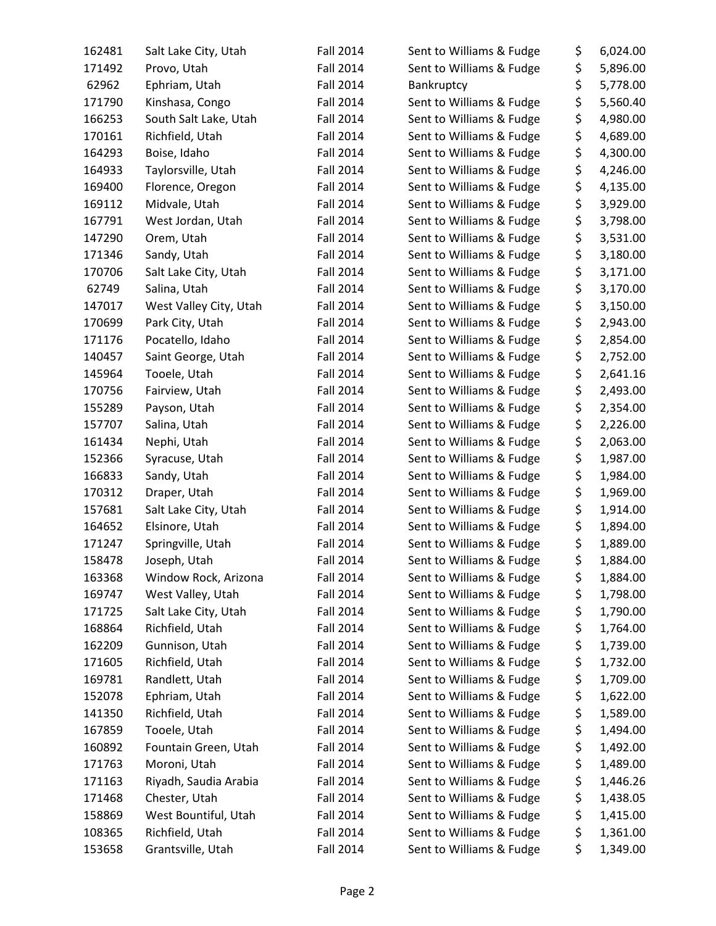| 162481 | Salt Lake City, Utah   | <b>Fall 2014</b> | Sent to Williams & Fudge | \$       | 6,024.00 |
|--------|------------------------|------------------|--------------------------|----------|----------|
| 171492 | Provo, Utah            | <b>Fall 2014</b> | Sent to Williams & Fudge | \$       | 5,896.00 |
| 62962  | Ephriam, Utah          | <b>Fall 2014</b> | Bankruptcy               | \$       | 5,778.00 |
| 171790 | Kinshasa, Congo        | <b>Fall 2014</b> | Sent to Williams & Fudge | \$       | 5,560.40 |
| 166253 | South Salt Lake, Utah  | <b>Fall 2014</b> | Sent to Williams & Fudge | \$       | 4,980.00 |
| 170161 | Richfield, Utah        | <b>Fall 2014</b> | Sent to Williams & Fudge | \$       | 4,689.00 |
| 164293 | Boise, Idaho           | <b>Fall 2014</b> | Sent to Williams & Fudge | \$       | 4,300.00 |
| 164933 | Taylorsville, Utah     | <b>Fall 2014</b> | Sent to Williams & Fudge | \$       | 4,246.00 |
| 169400 | Florence, Oregon       | <b>Fall 2014</b> | Sent to Williams & Fudge | \$       | 4,135.00 |
| 169112 | Midvale, Utah          | <b>Fall 2014</b> | Sent to Williams & Fudge | \$       | 3,929.00 |
| 167791 | West Jordan, Utah      | <b>Fall 2014</b> | Sent to Williams & Fudge | \$       | 3,798.00 |
| 147290 | Orem, Utah             | <b>Fall 2014</b> | Sent to Williams & Fudge | \$       | 3,531.00 |
| 171346 | Sandy, Utah            | <b>Fall 2014</b> | Sent to Williams & Fudge | \$       | 3,180.00 |
| 170706 | Salt Lake City, Utah   | <b>Fall 2014</b> | Sent to Williams & Fudge | \$       | 3,171.00 |
| 62749  | Salina, Utah           | <b>Fall 2014</b> | Sent to Williams & Fudge | \$       | 3,170.00 |
| 147017 | West Valley City, Utah | <b>Fall 2014</b> | Sent to Williams & Fudge | \$       | 3,150.00 |
| 170699 | Park City, Utah        | <b>Fall 2014</b> | Sent to Williams & Fudge | \$       | 2,943.00 |
| 171176 | Pocatello, Idaho       | <b>Fall 2014</b> | Sent to Williams & Fudge | \$       | 2,854.00 |
| 140457 | Saint George, Utah     | <b>Fall 2014</b> | Sent to Williams & Fudge | \$       | 2,752.00 |
| 145964 | Tooele, Utah           | <b>Fall 2014</b> | Sent to Williams & Fudge | \$       | 2,641.16 |
| 170756 | Fairview, Utah         | <b>Fall 2014</b> | Sent to Williams & Fudge | \$       | 2,493.00 |
| 155289 | Payson, Utah           | <b>Fall 2014</b> | Sent to Williams & Fudge | \$       | 2,354.00 |
| 157707 | Salina, Utah           | <b>Fall 2014</b> | Sent to Williams & Fudge | \$       | 2,226.00 |
| 161434 | Nephi, Utah            | <b>Fall 2014</b> | Sent to Williams & Fudge | \$       | 2,063.00 |
|        |                        |                  |                          | \$       |          |
| 152366 | Syracuse, Utah         | <b>Fall 2014</b> | Sent to Williams & Fudge |          | 1,987.00 |
| 166833 | Sandy, Utah            | <b>Fall 2014</b> | Sent to Williams & Fudge | \$<br>\$ | 1,984.00 |
| 170312 | Draper, Utah           | <b>Fall 2014</b> | Sent to Williams & Fudge |          | 1,969.00 |
| 157681 | Salt Lake City, Utah   | <b>Fall 2014</b> | Sent to Williams & Fudge | \$       | 1,914.00 |
| 164652 | Elsinore, Utah         | <b>Fall 2014</b> | Sent to Williams & Fudge | \$       | 1,894.00 |
| 171247 | Springville, Utah      | <b>Fall 2014</b> | Sent to Williams & Fudge | \$       | 1,889.00 |
| 158478 | Joseph, Utah           | <b>Fall 2014</b> | Sent to Williams & Fudge | \$       | 1,884.00 |
| 163368 | Window Rock, Arizona   | <b>Fall 2014</b> | Sent to Williams & Fudge | \$       | 1,884.00 |
| 169747 | West Valley, Utah      | <b>Fall 2014</b> | Sent to Williams & Fudge | \$       | 1,798.00 |
| 171725 | Salt Lake City, Utah   | Fall 2014        | Sent to Williams & Fudge | \$       | 1,790.00 |
| 168864 | Richfield, Utah        | <b>Fall 2014</b> | Sent to Williams & Fudge | \$       | 1,764.00 |
| 162209 | Gunnison, Utah         | <b>Fall 2014</b> | Sent to Williams & Fudge | \$       | 1,739.00 |
| 171605 | Richfield, Utah        | <b>Fall 2014</b> | Sent to Williams & Fudge | \$       | 1,732.00 |
| 169781 | Randlett, Utah         | Fall 2014        | Sent to Williams & Fudge | \$       | 1,709.00 |
| 152078 | Ephriam, Utah          | <b>Fall 2014</b> | Sent to Williams & Fudge | \$       | 1,622.00 |
| 141350 | Richfield, Utah        | <b>Fall 2014</b> | Sent to Williams & Fudge | \$       | 1,589.00 |
| 167859 | Tooele, Utah           | <b>Fall 2014</b> | Sent to Williams & Fudge | \$       | 1,494.00 |
| 160892 | Fountain Green, Utah   | <b>Fall 2014</b> | Sent to Williams & Fudge | \$       | 1,492.00 |
| 171763 | Moroni, Utah           | Fall 2014        | Sent to Williams & Fudge | \$       | 1,489.00 |
| 171163 | Riyadh, Saudia Arabia  | <b>Fall 2014</b> | Sent to Williams & Fudge | \$       | 1,446.26 |
| 171468 | Chester, Utah          | <b>Fall 2014</b> | Sent to Williams & Fudge | \$       | 1,438.05 |
| 158869 | West Bountiful, Utah   | <b>Fall 2014</b> | Sent to Williams & Fudge | \$       | 1,415.00 |
| 108365 | Richfield, Utah        | <b>Fall 2014</b> | Sent to Williams & Fudge | \$       | 1,361.00 |
| 153658 | Grantsville, Utah      | <b>Fall 2014</b> | Sent to Williams & Fudge | \$       | 1,349.00 |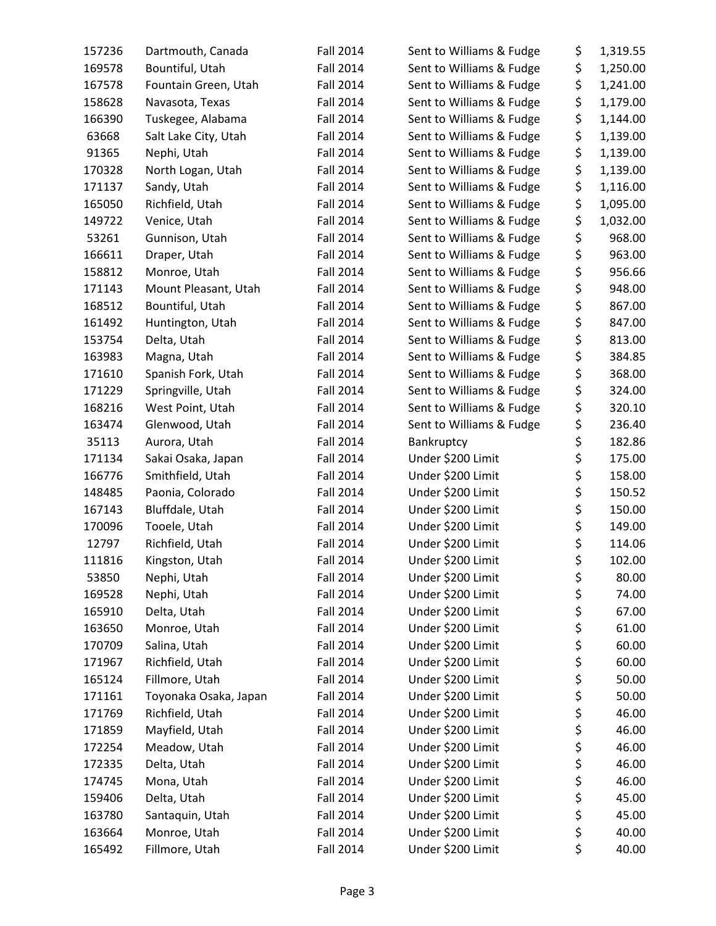| 157236 | Dartmouth, Canada     | <b>Fall 2014</b> | Sent to Williams & Fudge | \$<br>1,319.55 |
|--------|-----------------------|------------------|--------------------------|----------------|
| 169578 | Bountiful, Utah       | <b>Fall 2014</b> | Sent to Williams & Fudge | \$<br>1,250.00 |
| 167578 | Fountain Green, Utah  | <b>Fall 2014</b> | Sent to Williams & Fudge | \$<br>1,241.00 |
| 158628 | Navasota, Texas       | <b>Fall 2014</b> | Sent to Williams & Fudge | \$<br>1,179.00 |
| 166390 | Tuskegee, Alabama     | <b>Fall 2014</b> | Sent to Williams & Fudge | \$<br>1,144.00 |
| 63668  | Salt Lake City, Utah  | <b>Fall 2014</b> | Sent to Williams & Fudge | \$<br>1,139.00 |
| 91365  | Nephi, Utah           | <b>Fall 2014</b> | Sent to Williams & Fudge | \$<br>1,139.00 |
| 170328 | North Logan, Utah     | <b>Fall 2014</b> | Sent to Williams & Fudge | \$<br>1,139.00 |
| 171137 | Sandy, Utah           | <b>Fall 2014</b> | Sent to Williams & Fudge | \$<br>1,116.00 |
| 165050 | Richfield, Utah       | <b>Fall 2014</b> | Sent to Williams & Fudge | \$<br>1,095.00 |
| 149722 | Venice, Utah          | <b>Fall 2014</b> | Sent to Williams & Fudge | \$<br>1,032.00 |
| 53261  | Gunnison, Utah        | <b>Fall 2014</b> | Sent to Williams & Fudge | \$<br>968.00   |
| 166611 | Draper, Utah          | <b>Fall 2014</b> | Sent to Williams & Fudge | \$<br>963.00   |
| 158812 | Monroe, Utah          | <b>Fall 2014</b> | Sent to Williams & Fudge | \$<br>956.66   |
| 171143 | Mount Pleasant, Utah  | <b>Fall 2014</b> | Sent to Williams & Fudge | \$<br>948.00   |
| 168512 | Bountiful, Utah       | <b>Fall 2014</b> | Sent to Williams & Fudge | \$<br>867.00   |
| 161492 | Huntington, Utah      | <b>Fall 2014</b> | Sent to Williams & Fudge | \$<br>847.00   |
| 153754 | Delta, Utah           | <b>Fall 2014</b> | Sent to Williams & Fudge | \$<br>813.00   |
| 163983 | Magna, Utah           | <b>Fall 2014</b> | Sent to Williams & Fudge | \$<br>384.85   |
| 171610 | Spanish Fork, Utah    | <b>Fall 2014</b> | Sent to Williams & Fudge | \$<br>368.00   |
| 171229 | Springville, Utah     | <b>Fall 2014</b> | Sent to Williams & Fudge | \$<br>324.00   |
| 168216 | West Point, Utah      | <b>Fall 2014</b> | Sent to Williams & Fudge | \$<br>320.10   |
| 163474 | Glenwood, Utah        | <b>Fall 2014</b> | Sent to Williams & Fudge | \$<br>236.40   |
| 35113  | Aurora, Utah          | <b>Fall 2014</b> | Bankruptcy               | \$<br>182.86   |
| 171134 | Sakai Osaka, Japan    | <b>Fall 2014</b> | Under \$200 Limit        | \$<br>175.00   |
| 166776 | Smithfield, Utah      | <b>Fall 2014</b> | Under \$200 Limit        | \$<br>158.00   |
| 148485 | Paonia, Colorado      | Fall 2014        | Under \$200 Limit        | \$<br>150.52   |
| 167143 | Bluffdale, Utah       | <b>Fall 2014</b> | Under \$200 Limit        | \$<br>150.00   |
| 170096 | Tooele, Utah          | <b>Fall 2014</b> | Under \$200 Limit        | \$<br>149.00   |
| 12797  | Richfield, Utah       | <b>Fall 2014</b> | Under \$200 Limit        | \$<br>114.06   |
| 111816 | Kingston, Utah        | <b>Fall 2014</b> | Under \$200 Limit        | \$<br>102.00   |
| 53850  | Nephi, Utah           | <b>Fall 2014</b> | Under \$200 Limit        | \$<br>80.00    |
| 169528 | Nephi, Utah           | <b>Fall 2014</b> | Under \$200 Limit        | \$<br>74.00    |
| 165910 | Delta, Utah           | Fall 2014        | Under \$200 Limit        | \$<br>67.00    |
| 163650 | Monroe, Utah          | <b>Fall 2014</b> | Under \$200 Limit        | \$<br>61.00    |
| 170709 | Salina, Utah          | <b>Fall 2014</b> | Under \$200 Limit        | \$<br>60.00    |
| 171967 | Richfield, Utah       | Fall 2014        | Under \$200 Limit        | \$<br>60.00    |
| 165124 | Fillmore, Utah        | Fall 2014        | Under \$200 Limit        | \$<br>50.00    |
| 171161 | Toyonaka Osaka, Japan | Fall 2014        | Under \$200 Limit        | \$<br>50.00    |
| 171769 | Richfield, Utah       | Fall 2014        | Under \$200 Limit        | \$<br>46.00    |
| 171859 | Mayfield, Utah        | <b>Fall 2014</b> | Under \$200 Limit        | \$<br>46.00    |
| 172254 | Meadow, Utah          | <b>Fall 2014</b> | Under \$200 Limit        | \$<br>46.00    |
| 172335 | Delta, Utah           | Fall 2014        | Under \$200 Limit        | \$<br>46.00    |
| 174745 | Mona, Utah            | Fall 2014        | Under \$200 Limit        | \$<br>46.00    |
| 159406 | Delta, Utah           | <b>Fall 2014</b> | Under \$200 Limit        | \$<br>45.00    |
| 163780 | Santaquin, Utah       | <b>Fall 2014</b> | Under \$200 Limit        | \$<br>45.00    |
| 163664 | Monroe, Utah          | <b>Fall 2014</b> | Under \$200 Limit        | \$<br>40.00    |
| 165492 | Fillmore, Utah        | <b>Fall 2014</b> | Under \$200 Limit        | \$<br>40.00    |
|        |                       |                  |                          |                |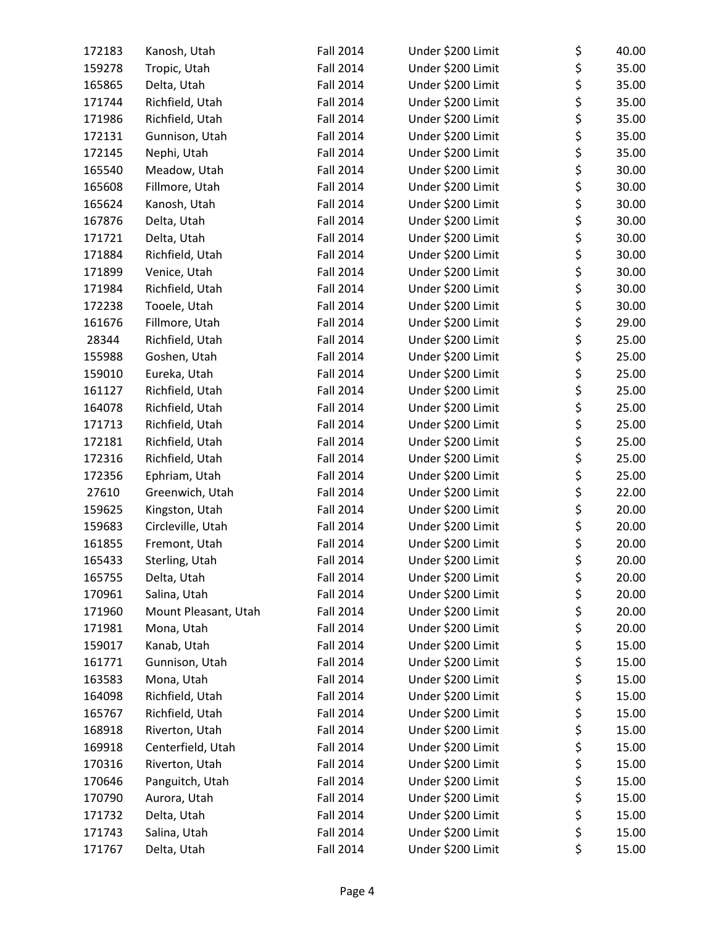| 172183 | Kanosh, Utah         | <b>Fall 2014</b> | Under \$200 Limit | \$<br>40.00 |
|--------|----------------------|------------------|-------------------|-------------|
| 159278 | Tropic, Utah         | <b>Fall 2014</b> | Under \$200 Limit | \$<br>35.00 |
| 165865 | Delta, Utah          | <b>Fall 2014</b> | Under \$200 Limit | \$<br>35.00 |
| 171744 | Richfield, Utah      | <b>Fall 2014</b> | Under \$200 Limit | \$<br>35.00 |
| 171986 | Richfield, Utah      | <b>Fall 2014</b> | Under \$200 Limit | \$<br>35.00 |
| 172131 | Gunnison, Utah       | <b>Fall 2014</b> | Under \$200 Limit | \$<br>35.00 |
| 172145 | Nephi, Utah          | <b>Fall 2014</b> | Under \$200 Limit | \$<br>35.00 |
| 165540 | Meadow, Utah         | Fall 2014        | Under \$200 Limit | \$<br>30.00 |
| 165608 | Fillmore, Utah       | <b>Fall 2014</b> | Under \$200 Limit | \$<br>30.00 |
| 165624 | Kanosh, Utah         | <b>Fall 2014</b> | Under \$200 Limit | \$<br>30.00 |
| 167876 | Delta, Utah          | <b>Fall 2014</b> | Under \$200 Limit | \$<br>30.00 |
| 171721 | Delta, Utah          | <b>Fall 2014</b> | Under \$200 Limit | \$<br>30.00 |
| 171884 | Richfield, Utah      | <b>Fall 2014</b> | Under \$200 Limit | \$<br>30.00 |
| 171899 | Venice, Utah         | <b>Fall 2014</b> | Under \$200 Limit | \$<br>30.00 |
| 171984 | Richfield, Utah      | <b>Fall 2014</b> | Under \$200 Limit | \$<br>30.00 |
| 172238 | Tooele, Utah         | <b>Fall 2014</b> | Under \$200 Limit | \$<br>30.00 |
| 161676 | Fillmore, Utah       | <b>Fall 2014</b> | Under \$200 Limit | \$<br>29.00 |
| 28344  | Richfield, Utah      | <b>Fall 2014</b> | Under \$200 Limit | \$<br>25.00 |
| 155988 | Goshen, Utah         | <b>Fall 2014</b> | Under \$200 Limit | \$<br>25.00 |
| 159010 | Eureka, Utah         | <b>Fall 2014</b> | Under \$200 Limit | \$<br>25.00 |
| 161127 | Richfield, Utah      | <b>Fall 2014</b> | Under \$200 Limit | \$<br>25.00 |
| 164078 | Richfield, Utah      | <b>Fall 2014</b> | Under \$200 Limit | \$<br>25.00 |
| 171713 | Richfield, Utah      | <b>Fall 2014</b> | Under \$200 Limit | \$<br>25.00 |
| 172181 | Richfield, Utah      | <b>Fall 2014</b> | Under \$200 Limit | \$<br>25.00 |
| 172316 | Richfield, Utah      | <b>Fall 2014</b> | Under \$200 Limit | \$<br>25.00 |
| 172356 | Ephriam, Utah        | <b>Fall 2014</b> | Under \$200 Limit | \$<br>25.00 |
| 27610  | Greenwich, Utah      | <b>Fall 2014</b> | Under \$200 Limit | \$<br>22.00 |
| 159625 | Kingston, Utah       | <b>Fall 2014</b> | Under \$200 Limit | \$<br>20.00 |
| 159683 | Circleville, Utah    | <b>Fall 2014</b> | Under \$200 Limit | \$<br>20.00 |
| 161855 | Fremont, Utah        | <b>Fall 2014</b> | Under \$200 Limit | \$<br>20.00 |
| 165433 | Sterling, Utah       | <b>Fall 2014</b> | Under \$200 Limit | \$<br>20.00 |
| 165755 | Delta, Utah          | <b>Fall 2014</b> | Under \$200 Limit | \$<br>20.00 |
| 170961 | Salina, Utah         | <b>Fall 2014</b> | Under \$200 Limit | \$<br>20.00 |
| 171960 | Mount Pleasant, Utah | <b>Fall 2014</b> | Under \$200 Limit | \$<br>20.00 |
| 171981 | Mona, Utah           | <b>Fall 2014</b> | Under \$200 Limit | \$<br>20.00 |
| 159017 | Kanab, Utah          | <b>Fall 2014</b> | Under \$200 Limit | \$<br>15.00 |
| 161771 | Gunnison, Utah       | <b>Fall 2014</b> | Under \$200 Limit | \$<br>15.00 |
| 163583 | Mona, Utah           | <b>Fall 2014</b> | Under \$200 Limit | \$<br>15.00 |
| 164098 | Richfield, Utah      | Fall 2014        | Under \$200 Limit | \$<br>15.00 |
| 165767 | Richfield, Utah      | <b>Fall 2014</b> | Under \$200 Limit | \$<br>15.00 |
| 168918 | Riverton, Utah       | <b>Fall 2014</b> | Under \$200 Limit | \$<br>15.00 |
| 169918 | Centerfield, Utah    | <b>Fall 2014</b> | Under \$200 Limit | \$<br>15.00 |
| 170316 | Riverton, Utah       | Fall 2014        | Under \$200 Limit | \$<br>15.00 |
| 170646 | Panguitch, Utah      | Fall 2014        | Under \$200 Limit | \$<br>15.00 |
| 170790 | Aurora, Utah         | Fall 2014        | Under \$200 Limit | \$<br>15.00 |
| 171732 | Delta, Utah          | Fall 2014        | Under \$200 Limit | \$<br>15.00 |
| 171743 | Salina, Utah         | <b>Fall 2014</b> | Under \$200 Limit | \$<br>15.00 |
| 171767 | Delta, Utah          | <b>Fall 2014</b> | Under \$200 Limit | \$<br>15.00 |
|        |                      |                  |                   |             |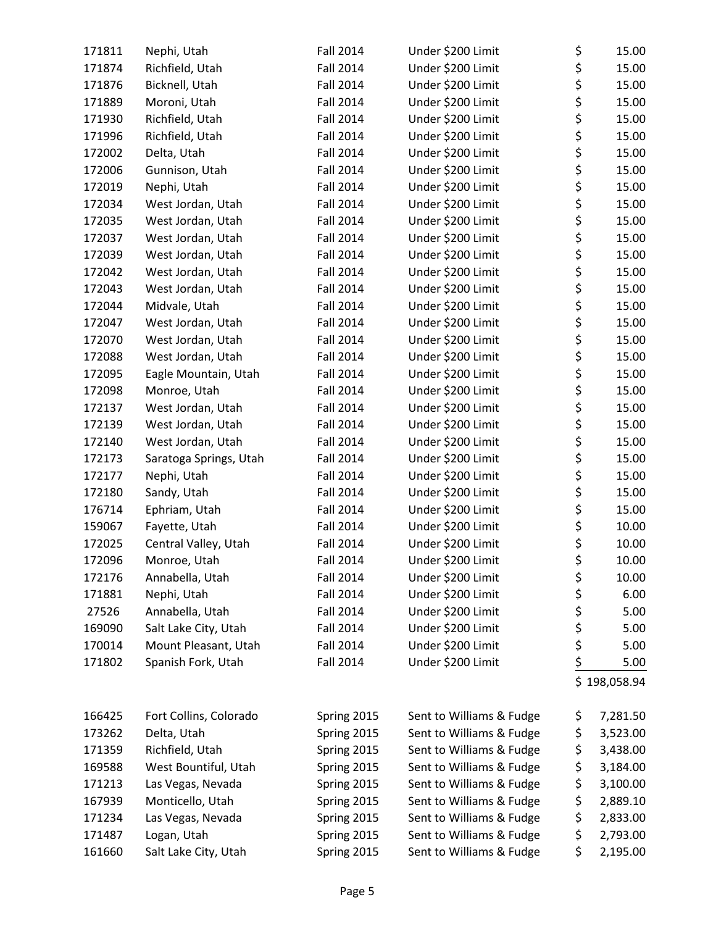| 171811 | Nephi, Utah            | <b>Fall 2014</b> | Under \$200 Limit        | \$<br>15.00    |
|--------|------------------------|------------------|--------------------------|----------------|
| 171874 | Richfield, Utah        | <b>Fall 2014</b> | Under \$200 Limit        | \$<br>15.00    |
| 171876 | Bicknell, Utah         | <b>Fall 2014</b> | Under \$200 Limit        | \$<br>15.00    |
| 171889 | Moroni, Utah           | <b>Fall 2014</b> | Under \$200 Limit        | \$<br>15.00    |
| 171930 | Richfield, Utah        | <b>Fall 2014</b> | Under \$200 Limit        | \$<br>15.00    |
| 171996 | Richfield, Utah        | <b>Fall 2014</b> | Under \$200 Limit        | \$<br>15.00    |
| 172002 | Delta, Utah            | <b>Fall 2014</b> | Under \$200 Limit        | \$<br>15.00    |
| 172006 | Gunnison, Utah         | <b>Fall 2014</b> | Under \$200 Limit        | \$<br>15.00    |
| 172019 | Nephi, Utah            | <b>Fall 2014</b> | Under \$200 Limit        | \$<br>15.00    |
| 172034 | West Jordan, Utah      | <b>Fall 2014</b> | Under \$200 Limit        | \$<br>15.00    |
| 172035 | West Jordan, Utah      | <b>Fall 2014</b> | Under \$200 Limit        | \$<br>15.00    |
| 172037 | West Jordan, Utah      | <b>Fall 2014</b> | Under \$200 Limit        | \$<br>15.00    |
| 172039 | West Jordan, Utah      | <b>Fall 2014</b> | Under \$200 Limit        | \$<br>15.00    |
| 172042 | West Jordan, Utah      | <b>Fall 2014</b> | Under \$200 Limit        | \$<br>15.00    |
| 172043 | West Jordan, Utah      | <b>Fall 2014</b> | Under \$200 Limit        | \$<br>15.00    |
| 172044 | Midvale, Utah          | Fall 2014        | Under \$200 Limit        | \$<br>15.00    |
| 172047 | West Jordan, Utah      | <b>Fall 2014</b> | Under \$200 Limit        | \$<br>15.00    |
| 172070 | West Jordan, Utah      | <b>Fall 2014</b> | Under \$200 Limit        | \$<br>15.00    |
| 172088 | West Jordan, Utah      | <b>Fall 2014</b> | Under \$200 Limit        | \$<br>15.00    |
| 172095 | Eagle Mountain, Utah   | <b>Fall 2014</b> | Under \$200 Limit        | \$<br>15.00    |
| 172098 | Monroe, Utah           | <b>Fall 2014</b> | Under \$200 Limit        | \$<br>15.00    |
| 172137 | West Jordan, Utah      | <b>Fall 2014</b> | Under \$200 Limit        | \$<br>15.00    |
| 172139 | West Jordan, Utah      | <b>Fall 2014</b> | Under \$200 Limit        | \$<br>15.00    |
| 172140 | West Jordan, Utah      | <b>Fall 2014</b> | Under \$200 Limit        | \$<br>15.00    |
| 172173 | Saratoga Springs, Utah | <b>Fall 2014</b> | Under \$200 Limit        | \$<br>15.00    |
| 172177 | Nephi, Utah            | <b>Fall 2014</b> | Under \$200 Limit        | \$<br>15.00    |
| 172180 | Sandy, Utah            | Fall 2014        | Under \$200 Limit        | \$<br>15.00    |
| 176714 | Ephriam, Utah          | <b>Fall 2014</b> | Under \$200 Limit        | \$<br>15.00    |
| 159067 | Fayette, Utah          | <b>Fall 2014</b> | Under \$200 Limit        | \$<br>10.00    |
| 172025 | Central Valley, Utah   | <b>Fall 2014</b> | Under \$200 Limit        | \$<br>10.00    |
| 172096 | Monroe, Utah           | <b>Fall 2014</b> | Under \$200 Limit        | \$<br>10.00    |
| 172176 | Annabella, Utah        | <b>Fall 2014</b> | Under \$200 Limit        | \$<br>10.00    |
| 171881 | Nephi, Utah            | <b>Fall 2014</b> | Under \$200 Limit        | \$<br>6.00     |
| 27526  | Annabella, Utah        | <b>Fall 2014</b> | Under \$200 Limit        | \$<br>5.00     |
| 169090 | Salt Lake City, Utah   | <b>Fall 2014</b> | Under \$200 Limit        | \$<br>5.00     |
| 170014 | Mount Pleasant, Utah   | <b>Fall 2014</b> | Under \$200 Limit        | \$<br>5.00     |
| 171802 | Spanish Fork, Utah     | <b>Fall 2014</b> | Under \$200 Limit        | \$<br>5.00     |
|        |                        |                  |                          | \$198,058.94   |
| 166425 | Fort Collins, Colorado | Spring 2015      | Sent to Williams & Fudge | \$<br>7,281.50 |
| 173262 | Delta, Utah            | Spring 2015      | Sent to Williams & Fudge | \$<br>3,523.00 |
| 171359 | Richfield, Utah        | Spring 2015      | Sent to Williams & Fudge | \$<br>3,438.00 |
| 169588 | West Bountiful, Utah   | Spring 2015      | Sent to Williams & Fudge | \$<br>3,184.00 |
| 171213 | Las Vegas, Nevada      | Spring 2015      | Sent to Williams & Fudge | \$<br>3,100.00 |
| 167939 | Monticello, Utah       | Spring 2015      | Sent to Williams & Fudge | \$<br>2,889.10 |
| 171234 | Las Vegas, Nevada      | Spring 2015      | Sent to Williams & Fudge | \$<br>2,833.00 |
| 171487 | Logan, Utah            | Spring 2015      | Sent to Williams & Fudge | \$<br>2,793.00 |
| 161660 | Salt Lake City, Utah   | Spring 2015      | Sent to Williams & Fudge | \$<br>2,195.00 |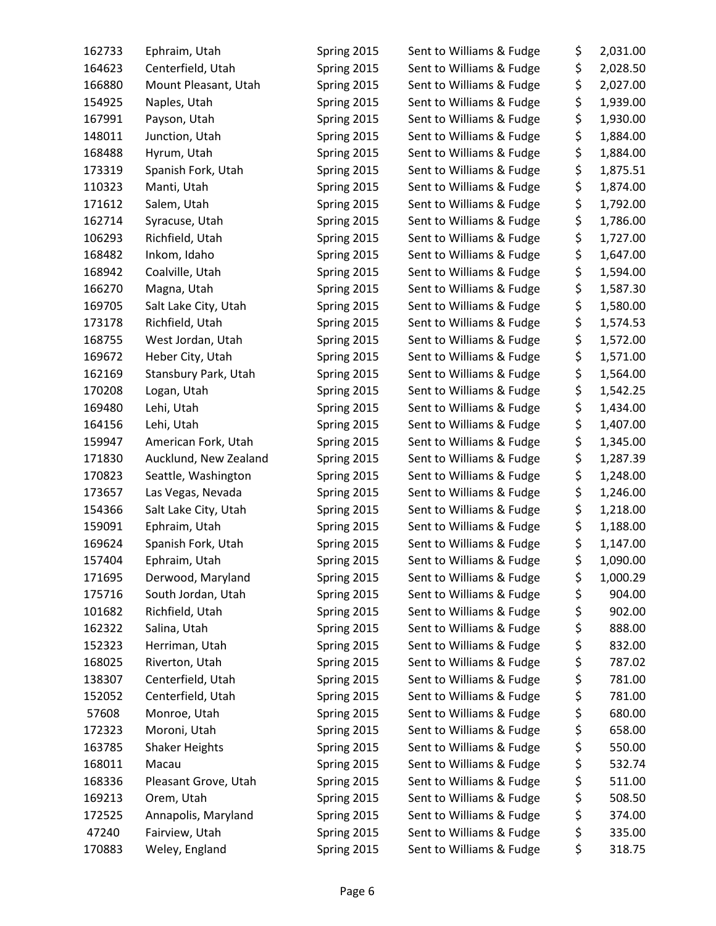| 162733 | Ephraim, Utah                    | Spring 2015                | Sent to Williams & Fudge | \$       | 2,031.00 |
|--------|----------------------------------|----------------------------|--------------------------|----------|----------|
| 164623 | Centerfield, Utah                | Spring 2015                | Sent to Williams & Fudge | \$       | 2,028.50 |
| 166880 | Mount Pleasant, Utah             | Spring 2015                | Sent to Williams & Fudge | \$       | 2,027.00 |
| 154925 | Naples, Utah                     | Spring 2015                | Sent to Williams & Fudge | \$       | 1,939.00 |
| 167991 | Payson, Utah                     | Spring 2015                | Sent to Williams & Fudge | \$       | 1,930.00 |
| 148011 | Junction, Utah                   | Spring 2015                | Sent to Williams & Fudge | \$       | 1,884.00 |
| 168488 | Hyrum, Utah                      | Spring 2015                | Sent to Williams & Fudge | \$       | 1,884.00 |
| 173319 | Spanish Fork, Utah               | Spring 2015                | Sent to Williams & Fudge | \$       | 1,875.51 |
| 110323 | Manti, Utah                      | Spring 2015                | Sent to Williams & Fudge | \$       | 1,874.00 |
| 171612 | Salem, Utah                      | Spring 2015                | Sent to Williams & Fudge | \$       | 1,792.00 |
| 162714 | Syracuse, Utah                   | Spring 2015                | Sent to Williams & Fudge | \$       | 1,786.00 |
| 106293 | Richfield, Utah                  | Spring 2015                | Sent to Williams & Fudge | \$       | 1,727.00 |
| 168482 | Inkom, Idaho                     | Spring 2015                | Sent to Williams & Fudge | \$       | 1,647.00 |
| 168942 | Coalville, Utah                  | Spring 2015                | Sent to Williams & Fudge | \$       | 1,594.00 |
| 166270 | Magna, Utah                      | Spring 2015                | Sent to Williams & Fudge | \$       | 1,587.30 |
| 169705 | Salt Lake City, Utah             | Spring 2015                | Sent to Williams & Fudge | \$       | 1,580.00 |
| 173178 | Richfield, Utah                  | Spring 2015                | Sent to Williams & Fudge | \$       | 1,574.53 |
| 168755 | West Jordan, Utah                | Spring 2015                | Sent to Williams & Fudge | \$       | 1,572.00 |
| 169672 | Heber City, Utah                 | Spring 2015                | Sent to Williams & Fudge | \$       | 1,571.00 |
| 162169 | Stansbury Park, Utah             | Spring 2015                | Sent to Williams & Fudge | \$       | 1,564.00 |
| 170208 | Logan, Utah                      | Spring 2015                | Sent to Williams & Fudge | \$       | 1,542.25 |
| 169480 | Lehi, Utah                       | Spring 2015                | Sent to Williams & Fudge | \$       | 1,434.00 |
| 164156 | Lehi, Utah                       | Spring 2015                | Sent to Williams & Fudge | \$       | 1,407.00 |
| 159947 | American Fork, Utah              | Spring 2015                | Sent to Williams & Fudge | \$       | 1,345.00 |
| 171830 | Aucklund, New Zealand            | Spring 2015                | Sent to Williams & Fudge | \$       | 1,287.39 |
| 170823 | Seattle, Washington              | Spring 2015                | Sent to Williams & Fudge | \$       | 1,248.00 |
| 173657 | Las Vegas, Nevada                | Spring 2015                | Sent to Williams & Fudge | \$       | 1,246.00 |
| 154366 | Salt Lake City, Utah             | Spring 2015                | Sent to Williams & Fudge | \$       | 1,218.00 |
| 159091 | Ephraim, Utah                    | Spring 2015                | Sent to Williams & Fudge | \$       | 1,188.00 |
| 169624 | Spanish Fork, Utah               | Spring 2015                | Sent to Williams & Fudge | \$       | 1,147.00 |
| 157404 | Ephraim, Utah                    | Spring 2015                | Sent to Williams & Fudge | \$       | 1,090.00 |
| 171695 | Derwood, Maryland                |                            | Sent to Williams & Fudge | \$       | 1,000.29 |
| 175716 | South Jordan, Utah               | Spring 2015<br>Spring 2015 | Sent to Williams & Fudge |          | 904.00   |
| 101682 | Richfield, Utah                  | Spring 2015                | Sent to Williams & Fudge | \$<br>\$ | 902.00   |
| 162322 | Salina, Utah                     |                            | Sent to Williams & Fudge | \$       | 888.00   |
| 152323 |                                  | Spring 2015                | Sent to Williams & Fudge |          |          |
|        | Herriman, Utah<br>Riverton, Utah | Spring 2015                |                          | \$       | 832.00   |
| 168025 | Centerfield, Utah                | Spring 2015                | Sent to Williams & Fudge | \$       | 787.02   |
| 138307 |                                  | Spring 2015                | Sent to Williams & Fudge | \$       | 781.00   |
| 152052 | Centerfield, Utah                | Spring 2015                | Sent to Williams & Fudge | \$       | 781.00   |
| 57608  | Monroe, Utah                     | Spring 2015                | Sent to Williams & Fudge | \$       | 680.00   |
| 172323 | Moroni, Utah                     | Spring 2015                | Sent to Williams & Fudge | \$       | 658.00   |
| 163785 | <b>Shaker Heights</b>            | Spring 2015                | Sent to Williams & Fudge | \$       | 550.00   |
| 168011 | Macau                            | Spring 2015                | Sent to Williams & Fudge | \$       | 532.74   |
| 168336 | Pleasant Grove, Utah             | Spring 2015                | Sent to Williams & Fudge | \$       | 511.00   |
| 169213 | Orem, Utah                       | Spring 2015                | Sent to Williams & Fudge | \$       | 508.50   |
| 172525 | Annapolis, Maryland              | Spring 2015                | Sent to Williams & Fudge | \$       | 374.00   |
| 47240  | Fairview, Utah                   | Spring 2015                | Sent to Williams & Fudge | \$       | 335.00   |
| 170883 | Weley, England                   | Spring 2015                | Sent to Williams & Fudge | \$       | 318.75   |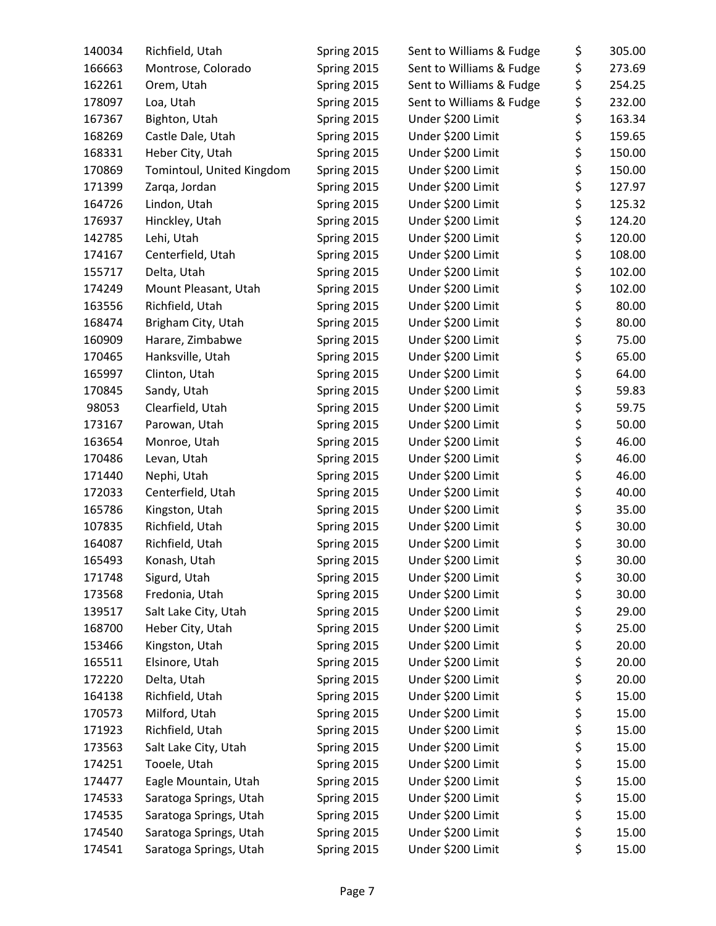| 140034 | Richfield, Utah           | Spring 2015 | Sent to Williams & Fudge | \$       | 305.00 |
|--------|---------------------------|-------------|--------------------------|----------|--------|
| 166663 | Montrose, Colorado        | Spring 2015 | Sent to Williams & Fudge | \$       | 273.69 |
| 162261 | Orem, Utah                | Spring 2015 | Sent to Williams & Fudge | \$       | 254.25 |
| 178097 | Loa, Utah                 | Spring 2015 | Sent to Williams & Fudge | \$       | 232.00 |
| 167367 | Bighton, Utah             | Spring 2015 | Under \$200 Limit        | \$       | 163.34 |
| 168269 | Castle Dale, Utah         | Spring 2015 | Under \$200 Limit        | \$       | 159.65 |
| 168331 | Heber City, Utah          | Spring 2015 | Under \$200 Limit        | \$       | 150.00 |
| 170869 | Tomintoul, United Kingdom | Spring 2015 | Under \$200 Limit        | \$       | 150.00 |
| 171399 | Zarqa, Jordan             | Spring 2015 | Under \$200 Limit        | \$       | 127.97 |
| 164726 | Lindon, Utah              | Spring 2015 | Under \$200 Limit        | \$       | 125.32 |
| 176937 | Hinckley, Utah            | Spring 2015 | Under \$200 Limit        | \$       | 124.20 |
| 142785 | Lehi, Utah                | Spring 2015 | Under \$200 Limit        | \$       | 120.00 |
| 174167 | Centerfield, Utah         | Spring 2015 | Under \$200 Limit        | \$       | 108.00 |
| 155717 | Delta, Utah               | Spring 2015 | Under \$200 Limit        | \$       | 102.00 |
| 174249 | Mount Pleasant, Utah      | Spring 2015 | Under \$200 Limit        | \$       | 102.00 |
| 163556 | Richfield, Utah           | Spring 2015 | Under \$200 Limit        | \$       | 80.00  |
| 168474 | Brigham City, Utah        | Spring 2015 | Under \$200 Limit        | \$       | 80.00  |
| 160909 | Harare, Zimbabwe          | Spring 2015 | Under \$200 Limit        | \$       | 75.00  |
| 170465 | Hanksville, Utah          | Spring 2015 | Under \$200 Limit        | \$       | 65.00  |
| 165997 | Clinton, Utah             | Spring 2015 | Under \$200 Limit        | \$       | 64.00  |
| 170845 | Sandy, Utah               | Spring 2015 | Under \$200 Limit        | \$       | 59.83  |
| 98053  | Clearfield, Utah          | Spring 2015 | Under \$200 Limit        | \$       | 59.75  |
| 173167 | Parowan, Utah             | Spring 2015 | Under \$200 Limit        | \$       | 50.00  |
| 163654 | Monroe, Utah              | Spring 2015 | Under \$200 Limit        | \$       | 46.00  |
| 170486 | Levan, Utah               | Spring 2015 | Under \$200 Limit        | \$       | 46.00  |
| 171440 | Nephi, Utah               | Spring 2015 | Under \$200 Limit        | \$       | 46.00  |
| 172033 | Centerfield, Utah         | Spring 2015 | Under \$200 Limit        | \$       | 40.00  |
| 165786 | Kingston, Utah            | Spring 2015 | Under \$200 Limit        | \$       | 35.00  |
| 107835 | Richfield, Utah           | Spring 2015 | Under \$200 Limit        |          | 30.00  |
| 164087 | Richfield, Utah           | Spring 2015 | Under \$200 Limit        | \$<br>\$ | 30.00  |
| 165493 | Konash, Utah              | Spring 2015 | Under \$200 Limit        | \$       | 30.00  |
|        |                           |             |                          |          |        |
| 171748 | Sigurd, Utah              | Spring 2015 | Under \$200 Limit        | \$       | 30.00  |
| 173568 | Fredonia, Utah            | Spring 2015 | Under \$200 Limit        | \$       | 30.00  |
| 139517 | Salt Lake City, Utah      | Spring 2015 | Under \$200 Limit        | \$       | 29.00  |
| 168700 | Heber City, Utah          | Spring 2015 | Under \$200 Limit        | \$       | 25.00  |
| 153466 | Kingston, Utah            | Spring 2015 | Under \$200 Limit        | \$       | 20.00  |
| 165511 | Elsinore, Utah            | Spring 2015 | Under \$200 Limit        | \$       | 20.00  |
| 172220 | Delta, Utah               | Spring 2015 | Under \$200 Limit        | \$       | 20.00  |
| 164138 | Richfield, Utah           | Spring 2015 | Under \$200 Limit        | \$       | 15.00  |
| 170573 | Milford, Utah             | Spring 2015 | Under \$200 Limit        | \$       | 15.00  |
| 171923 | Richfield, Utah           | Spring 2015 | Under \$200 Limit        | \$       | 15.00  |
| 173563 | Salt Lake City, Utah      | Spring 2015 | Under \$200 Limit        | \$       | 15.00  |
| 174251 | Tooele, Utah              | Spring 2015 | Under \$200 Limit        | \$       | 15.00  |
| 174477 | Eagle Mountain, Utah      | Spring 2015 | Under \$200 Limit        | \$       | 15.00  |
| 174533 | Saratoga Springs, Utah    | Spring 2015 | Under \$200 Limit        | \$       | 15.00  |
| 174535 | Saratoga Springs, Utah    | Spring 2015 | Under \$200 Limit        | \$       | 15.00  |
| 174540 | Saratoga Springs, Utah    | Spring 2015 | Under \$200 Limit        | \$       | 15.00  |
| 174541 | Saratoga Springs, Utah    | Spring 2015 | Under \$200 Limit        | \$       | 15.00  |